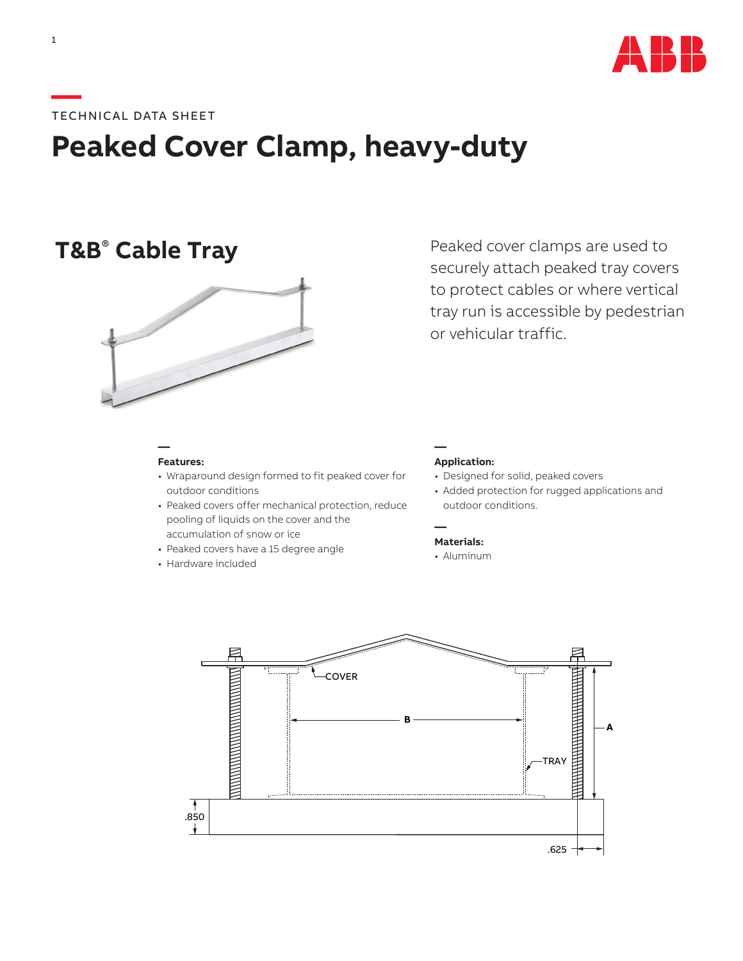

### **—**TECHNICAL DATA SHEET

# **Peaked Cover Clamp, heavy-duty**

## **T&B<sup>®</sup> Cable Tray**



**Features:**

**—**

- Wraparound design formed to fit peaked cover for outdoor conditions
- Peaked covers offer mechanical protection, reduce pooling of liquids on the cover and the accumulation of snow or ice
- Peaked covers have a 15 degree angle
- Hardware included

### **Application:**

**—**

**—**

• Designed for solid, peaked covers

or vehicular traffic.

• Added protection for rugged applications and outdoor conditions.

Peaked cover clamps are used to securely attach peaked tray covers to protect cables or where vertical tray run is accessible by pedestrian

- **Materials:**
- Aluminum